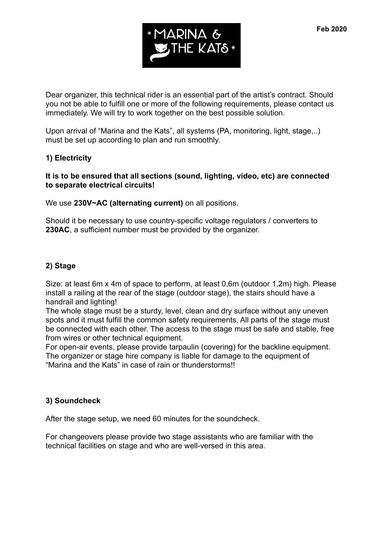

Dear organizer, this technical rider is an essential part of the artist's contract. Should you not be able to fulfill one or more of the following requirements, please contact us immediately. We will try to work together on the best possible solution.

Upon arrival of "Marina and the Kats", all systems (PA, monitoring, light, stage,..) must be set up according to plan and run smoothly.

#### **1) Electricity**

#### **It is to be ensured that all sections (sound, lighting, video, etc) are connected to separate electrical circuits!**

We use **230V~AC (alternating current)** on all positions.

Should it be necessary to use country-specific voltage regulators / converters to **230AC**, a sufficient number must be provided by the organizer.

#### **2) Stage**

Size: at least 6m x 4m of space to perform, at least 0,6m (outdoor 1,2m) high. Please install a railing at the rear of the stage (outdoor stage), the stairs should have a handrail and lighting!

The whole stage must be a sturdy, level, clean and dry surface without any uneven spots and it must fulfill the common safety requirements. All parts of the stage must be connected with each other. The access to the stage must be safe and stable, free from wires or other technical equipment.

For open-air events, please provide tarpaulin (covering) for the backline equipment. The organizer or stage hire company is liable for damage to the equipment of "Marina and the Kats" in case of rain or thunderstorms!!

#### **3) Soundcheck**

After the stage setup, we need 60 minutes for the soundcheck.

For changeovers please provide two stage assistants who are familiar with the technical facilities on stage and who are well-versed in this area.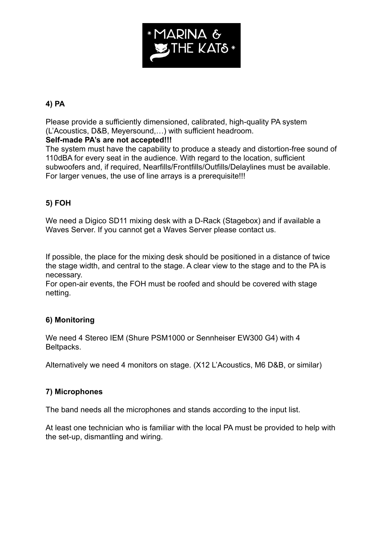

# **4) PA**

Please provide a sufficiently dimensioned, calibrated, high-quality PA system (L'Acoustics, D&B, Meyersound,…) with sufficient headroom.

### **Self-made PA's are not accepted!!!**

The system must have the capability to produce a steady and distortion-free sound of 110dBA for every seat in the audience. With regard to the location, sufficient subwoofers and, if required, Nearfills/Frontfills/Outfills/Delaylines must be available. For larger venues, the use of line arrays is a prerequisite!!!

# **5) FOH**

We need a Digico SD11 mixing desk with a D-Rack (Stagebox) and if available a Waves Server. If you cannot get a Waves Server please contact us.

If possible, the place for the mixing desk should be positioned in a distance of twice the stage width, and central to the stage. A clear view to the stage and to the PA is necessary.

For open-air events, the FOH must be roofed and should be covered with stage netting.

# **6) Monitoring**

We need 4 Stereo IEM (Shure PSM1000 or Sennheiser EW300 G4) with 4 Beltpacks.

Alternatively we need 4 monitors on stage. (X12 L'Acoustics, M6 D&B, or similar)

# **7) Microphones**

The band needs all the microphones and stands according to the input list.

At least one technician who is familiar with the local PA must be provided to help with the set-up, dismantling and wiring.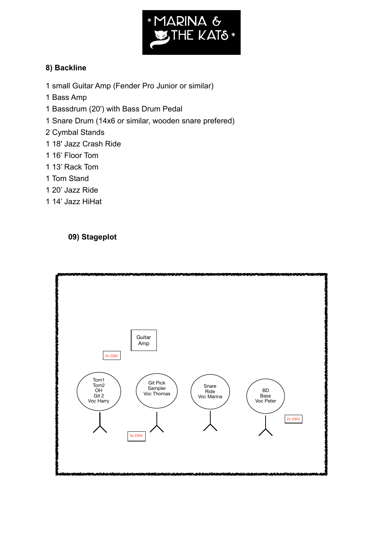

# **8) Backline**

- 1 small Guitar Amp (Fender Pro Junior or similar)
- 1 Bass Amp
- 1 Bassdrum (20') with Bass Drum Pedal
- 1 Snare Drum (14x6 or similar, wooden snare prefered)
- 2 Cymbal Stands
- 1 18' Jazz Crash Ride
- 1 16' Floor Tom
- 1 13' Rack Tom
- 1 Tom Stand
- 1 20' Jazz Ride
- 1 14' Jazz HiHat

# **09) Stageplot**